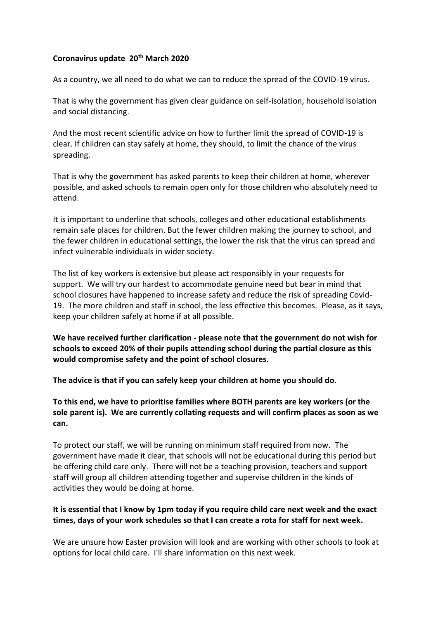## **Coronavirus update 20th March 2020**

As a country, we all need to do what we can to reduce the spread of the COVID-19 virus.

That is why the government has given clear guidance on self-isolation, household isolation and social distancing.

And the most recent scientific advice on how to further limit the spread of COVID-19 is clear. If children can stay safely at home, they should, to limit the chance of the virus spreading.

That is why the government has asked parents to keep their children at home, wherever possible, and asked schools to remain open only for those children who absolutely need to attend.

It is important to underline that schools, colleges and other educational establishments remain safe places for children. But the fewer children making the journey to school, and the fewer children in educational settings, the lower the risk that the virus can spread and infect vulnerable individuals in wider society.

The list of key workers is extensive but please act responsibly in your requests for support. We will try our hardest to accommodate genuine need but bear in mind that school closures have happened to increase safety and reduce the risk of spreading Covid-19. The more children and staff in school, the less effective this becomes. Please, as it says, keep your children safely at home if at all possible.

**We have received further clarification - please note that the government do not wish for schools to exceed 20% of their pupils attending school during the partial closure as this would compromise safety and the point of school closures.**

**The advice is that if you can safely keep your children at home you should do.**

**To this end, we have to prioritise families where BOTH parents are key workers (or the sole parent is). We are currently collating requests and will confirm places as soon as we can.**

To protect our staff, we will be running on minimum staff required from now. The government have made it clear, that schools will not be educational during this period but be offering child care only. There will not be a teaching provision, teachers and support staff will group all children attending together and supervise children in the kinds of activities they would be doing at home.

## **It is essential that I know by 1pm today if you require child care next week and the exact times, days of your work schedules so that I can create a rota for staff for next week.**

We are unsure how Easter provision will look and are working with other schools to look at options for local child care. I'll share information on this next week.